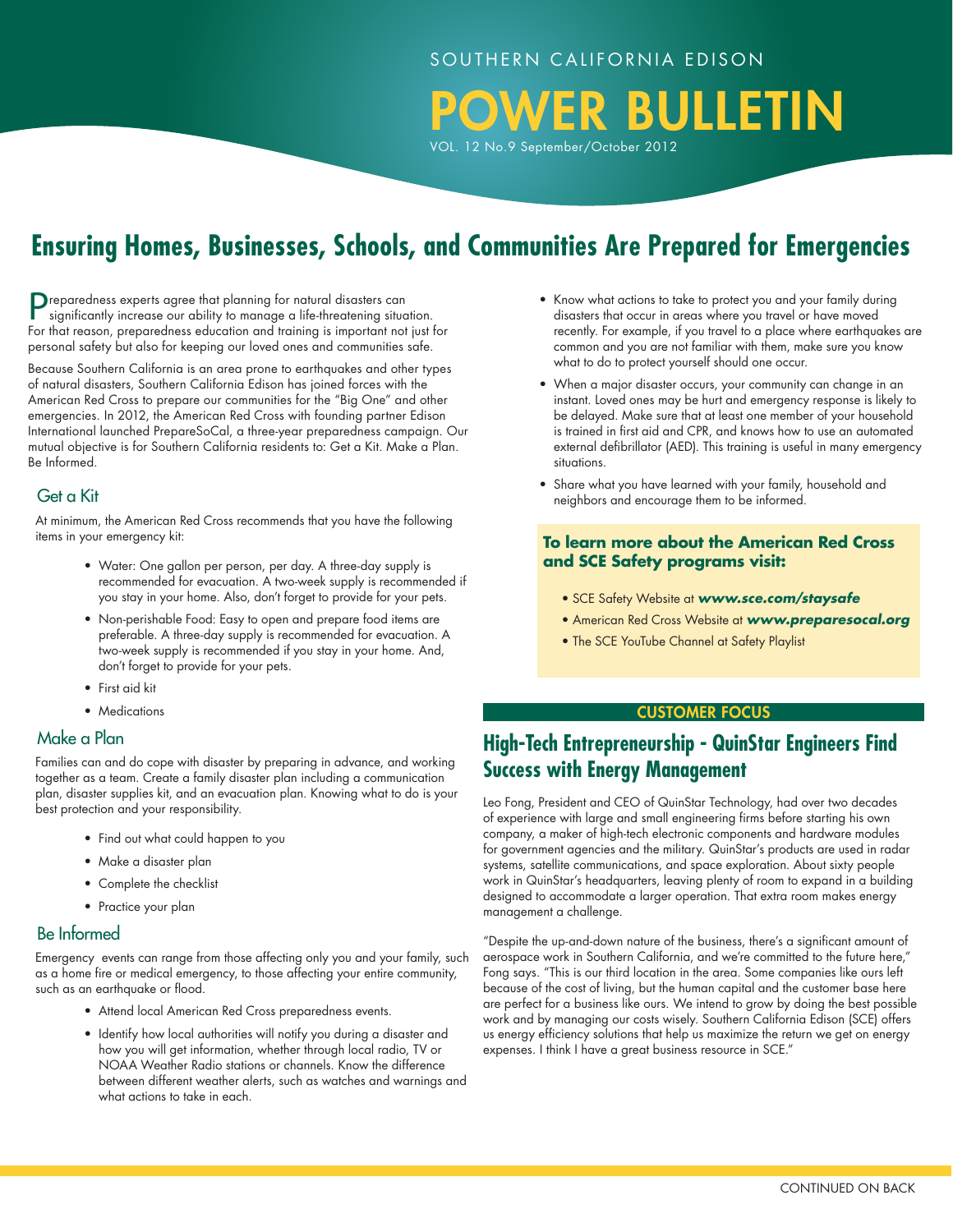POWER BULLETIN

VOL. 12 No.9 September/October 2012

# **Ensuring Homes, Businesses, Schools, and Communities Are Prepared for Emergencies**

Preparedness experts agree that planning for natural disasters can significantly increase our ability to manage a life-threatening situation. For that reason, preparedness education and training is important not just for personal safety but also for keeping our loved ones and communities safe.

Because Southern California is an area prone to earthquakes and other types of natural disasters, Southern California Edison has joined forces with the American Red Cross to prepare our communities for the "Big One" and other emergencies. In 2012, the American Red Cross with founding partner Edison International launched PrepareSoCal, a three-year preparedness campaign. Our mutual objective is for Southern California residents to: Get a Kit. Make a Plan. Be Informed.

### Get a Kit

 At minimum, the American Red Cross recommends that you have the following items in your emergency kit:

- Water: One gallon per person, per day. A three-day supply is recommended for evacuation. A two-week supply is recommended if you stay in your home. Also, don't forget to provide for your pets.
- Non-perishable Food: Easy to open and prepare food items are preferable. A three-day supply is recommended for evacuation. A two-week supply is recommended if you stay in your home. And, don't forget to provide for your pets.
- First aid kit
- Medications

### Make a Plan

 Families can and do cope with disaster by preparing in advance, and working together as a team. Create a family disaster plan including a communication plan, disaster supplies kit, and an evacuation plan. Knowing what to do is your best protection and your responsibility.

- Find out what could happen to you
- Make a disaster plan
- Complete the checklist
- Practice your plan

### Be Informed

 Emergency events can range from those affecting only you and your family, such as a home fire or medical emergency, to those affecting your entire community, such as an earthquake or flood.

- Attend local American Red Cross preparedness events.
- Identify how local authorities will notify you during a disaster and how you will get information, whether through local radio, TV or NOAA Weather Radio stations or channels. Know the difference between different weather alerts, such as watches and warnings and what actions to take in each.
- Know what actions to take to protect you and your family during disasters that occur in areas where you travel or have moved recently. For example, if you travel to a place where earthquakes are common and you are not familiar with them, make sure you know what to do to protect yourself should one occur.
- When a major disaster occurs, your community can change in an instant. Loved ones may be hurt and emergency response is likely to be delayed. Make sure that at least one member of your household is trained in first aid and CPR, and knows how to use an automated external defibrillator (AED). This training is useful in many emergency situations.
- Share what you have learned with your family, household and neighbors and encourage them to be informed.

### **To learn more about the American Red Cross and SCE Safety programs visit:**

- SCE Safety Website at *www.sce.com/staysafe*
- American Red Cross Website at *www.preparesocal.org*
- The SCE YouTube Channel at Safety Playlist

#### **CUSTOMER FOCUS**

### **High-Tech Entrepreneurship - QuinStar Engineers Find Success with Energy Management**

Leo Fong, President and CEO of QuinStar Technology, had over two decades of experience with large and small engineering firms before starting his own company, a maker of high-tech electronic components and hardware modules for government agencies and the military. QuinStar's products are used in radar systems, satellite communications, and space exploration. About sixty people work in QuinStar's headquarters, leaving plenty of room to expand in a building designed to accommodate a larger operation. That extra room makes energy management a challenge.

"Despite the up-and-down nature of the business, there's a significant amount of aerospace work in Southern California, and we're committed to the future here," Fong says. "This is our third location in the area. Some companies like ours left because of the cost of living, but the human capital and the customer base here are perfect for a business like ours. We intend to grow by doing the best possible work and by managing our costs wisely. Southern California Edison (SCE) offers us energy efficiency solutions that help us maximize the return we get on energy expenses. I think I have a great business resource in SCE."